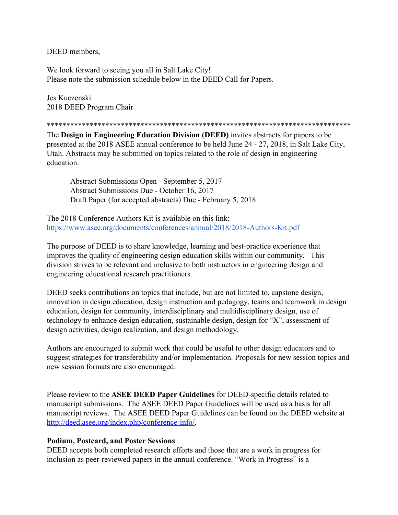DEED members,

We look forward to seeing you all in Salt Lake City! Please note the submission schedule below in the DEED Call for Papers.

Jes Kuczenski 2018 DEED Program Chair

\*\*\*\*\*\*\*\*\*\*\*\*\*\*\*\*\*\*\*\*\*\*\*\*\*\*\*\*\*\*\*\*\*\*\*\*\*\*\*\*\*\*\*\*\*\*\*\*\*\*\*\*\*\*\*\*\*\*\*\*\*\*\*\*\*\*\*\*\*\*\*\*\*\*\*\*\*\*

The **Design in Engineering Education Division (DEED)** invites abstracts for papers to be presented at the 2018 ASEE annual conference to be held June 24 - 27, 2018, in Salt Lake City, Utah. Abstracts may be submitted on topics related to the role of design in engineering education.

Abstract Submissions Open - September 5, 2017 Abstract Submissions Due - October 16, 2017 Draft Paper (for accepted abstracts) Due - February 5, 2018

The 2018 Conference Authors Kit is available on this link: <https://www.asee.org/documents/conferences/annual/2018/2018-Authors-Kit.pdf>

The purpose of DEED is to share knowledge, learning and best-practice experience that improves the quality of engineering design education skills within our community. This division strives to be relevant and inclusive to both instructors in engineering design and engineering educational research practitioners.

DEED seeks contributions on topics that include, but are not limited to, capstone design, innovation in design education, design instruction and pedagogy, teams and teamwork in design education, design for community, interdisciplinary and multidisciplinary design, use of technology to enhance design education, sustainable design, design for "X", assessment of design activities, design realization, and design methodology.

Authors are encouraged to submit work that could be useful to other design educators and to suggest strategies for transferability and/or implementation. Proposals for new session topics and new session formats are also encouraged.

Please review to the **ASEE DEED Paper Guidelines** for DEED-specific details related to manuscript submissions. The ASEE DEED Paper Guidelines will be used as a basis for all manuscript reviews. The ASEE DEED Paper Guidelines can be found on the DEED website a[t](http://deed.asee.org/index.php/conference-info/) [http://deed.asee.org/index.php/conference-info/.](http://deed.asee.org/index.php/conference-info/)

## **Podium, Postcard, and Poster Sessions**

DEED accepts both completed research efforts and those that are a work in progress for inclusion as peer-reviewed papers in the annual conference. "Work in Progress" is a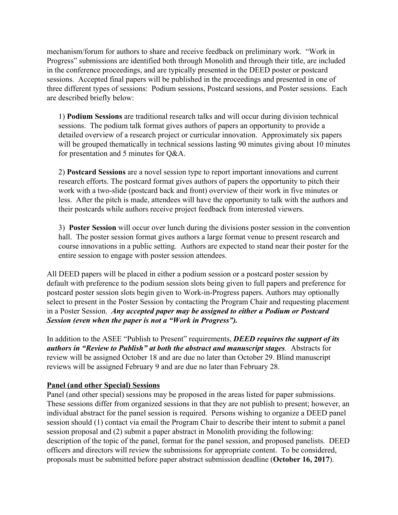mechanism/forum for authors to share and receive feedback on preliminary work. "Work in Progress" submissions are identified both through Monolith and through their title, are included in the conference proceedings, and are typically presented in the DEED poster or postcard sessions. Accepted final papers will be published in the proceedings and presented in one of three different types of sessions: Podium sessions, Postcard sessions, and Poster sessions. Each are described briefly below:

1) **Podium Sessions** are traditional research talks and will occur during division technical sessions. The podium talk format gives authors of papers an opportunity to provide a detailed overview of a research project or curricular innovation. Approximately six papers will be grouped thematically in technical sessions lasting 90 minutes giving about 10 minutes for presentation and 5 minutes for Q&A.

2) **Postcard Sessions** are a novel session type to report important innovations and current research efforts. The postcard format gives authors of papers the opportunity to pitch their work with a two-slide (postcard back and front) overview of their work in five minutes or less. After the pitch is made, attendees will have the opportunity to talk with the authors and their postcards while authors receive project feedback from interested viewers.

3) **Poster Session** will occur over lunch during the divisions poster session in the convention hall. The poster session format gives authors a large format venue to present research and course innovations in a public setting. Authors are expected to stand near their poster for the entire session to engage with poster session attendees.

All DEED papers will be placed in either a podium session or a postcard poster session by default with preference to the podium session slots being given to full papers and preference for postcard poster session slots begin given to Work-in-Progress papers. Authors may optionally select to present in the Poster Session by contacting the Program Chair and requesting placement in a Poster Session. *Any accepted paper may be assigned to either a Podium or Postcard Session (even when the paper is not a "Work in Progress").*

In addition to the ASEE "Publish to Present" requirements, *DEED requires the support of its authors in "Review to Publish" at both the abstract and manuscript stages.* Abstracts for review will be assigned October 18 and are due no later than October 29. Blind manuscript reviews will be assigned February 9 and are due no later than February 28.

## **Panel (and other Special) Sessions**

Panel (and other special) sessions may be proposed in the areas listed for paper submissions. These sessions differ from organized sessions in that they are not publish to present; however, an individual abstract for the panel session is required. Persons wishing to organize a DEED panel session should (1) contact via email the Program Chair to describe their intent to submit a panel session proposal and (2) submit a paper abstract in Monolith providing the following: description of the topic of the panel, format for the panel session, and proposed panelists. DEED officers and directors will review the submissions for appropriate content. To be considered, proposals must be submitted before paper abstract submission deadline (**October 16, 2017**).